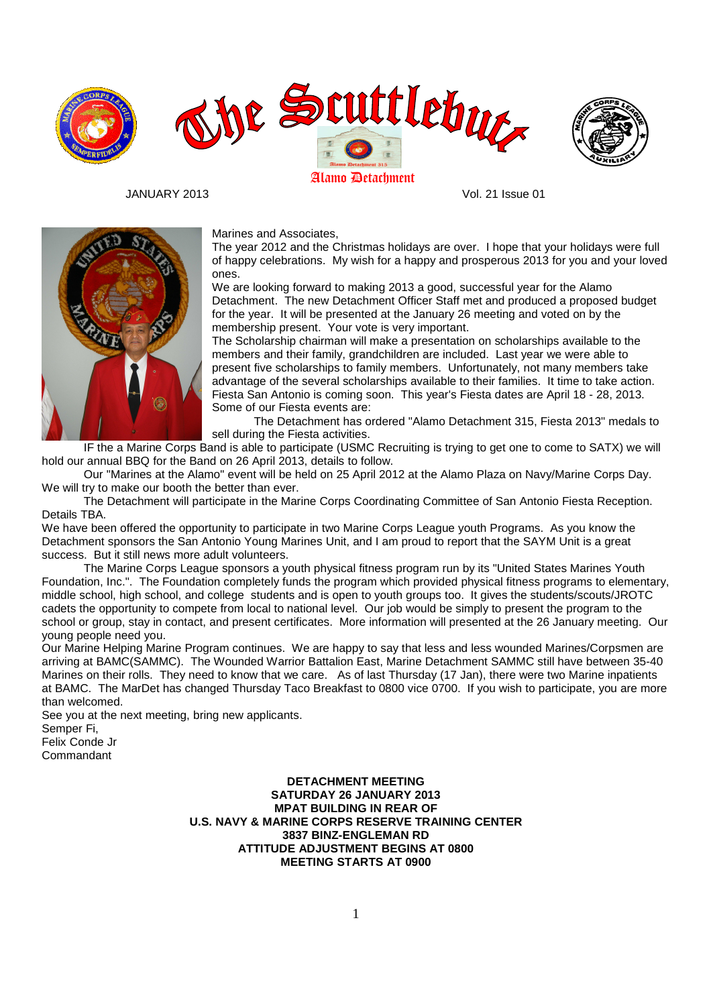





JANUARY 2013 Vol. 21 Issue 01



Marines and Associates,

The year 2012 and the Christmas holidays are over. I hope that your holidays were full of happy celebrations. My wish for a happy and prosperous 2013 for you and your loved ones.

We are looking forward to making 2013 a good, successful year for the Alamo Detachment. The new Detachment Officer Staff met and produced a proposed budget for the year. It will be presented at the January 26 meeting and voted on by the membership present. Your vote is very important.

The Scholarship chairman will make a presentation on scholarships available to the members and their family, grandchildren are included. Last year we were able to present five scholarships to family members. Unfortunately, not many members take advantage of the several scholarships available to their families. It time to take action. Fiesta San Antonio is coming soon. This year's Fiesta dates are April 18 - 28, 2013. Some of our Fiesta events are:

 The Detachment has ordered "Alamo Detachment 315, Fiesta 2013" medals to sell during the Fiesta activities.

 IF the a Marine Corps Band is able to participate (USMC Recruiting is trying to get one to come to SATX) we will hold our annual BBQ for the Band on 26 April 2013, details to follow.

 Our "Marines at the Alamo" event will be held on 25 April 2012 at the Alamo Plaza on Navy/Marine Corps Day. We will try to make our booth the better than ever.

 The Detachment will participate in the Marine Corps Coordinating Committee of San Antonio Fiesta Reception. Details TBA.

We have been offered the opportunity to participate in two Marine Corps League youth Programs. As you know the Detachment sponsors the San Antonio Young Marines Unit, and I am proud to report that the SAYM Unit is a great success. But it still news more adult volunteers.

 The Marine Corps League sponsors a youth physical fitness program run by its "United States Marines Youth Foundation, Inc.". The Foundation completely funds the program which provided physical fitness programs to elementary, middle school, high school, and college students and is open to youth groups too. It gives the students/scouts/JROTC cadets the opportunity to compete from local to national level. Our job would be simply to present the program to the school or group, stay in contact, and present certificates. More information will presented at the 26 January meeting. Our young people need you.

Our Marine Helping Marine Program continues. We are happy to say that less and less wounded Marines/Corpsmen are arriving at BAMC(SAMMC). The Wounded Warrior Battalion East, Marine Detachment SAMMC still have between 35-40 Marines on their rolls. They need to know that we care. As of last Thursday (17 Jan), there were two Marine inpatients at BAMC. The MarDet has changed Thursday Taco Breakfast to 0800 vice 0700. If you wish to participate, you are more than welcomed.

See you at the next meeting, bring new applicants. Semper Fi,

Felix Conde Jr Commandant

> **DETACHMENT MEETING SATURDAY 26 JANUARY 2013 MPAT BUILDING IN REAR OF U.S. NAVY & MARINE CORPS RESERVE TRAINING CENTER 3837 BINZ-ENGLEMAN RD ATTITUDE ADJUSTMENT BEGINS AT 0800 MEETING STARTS AT 0900**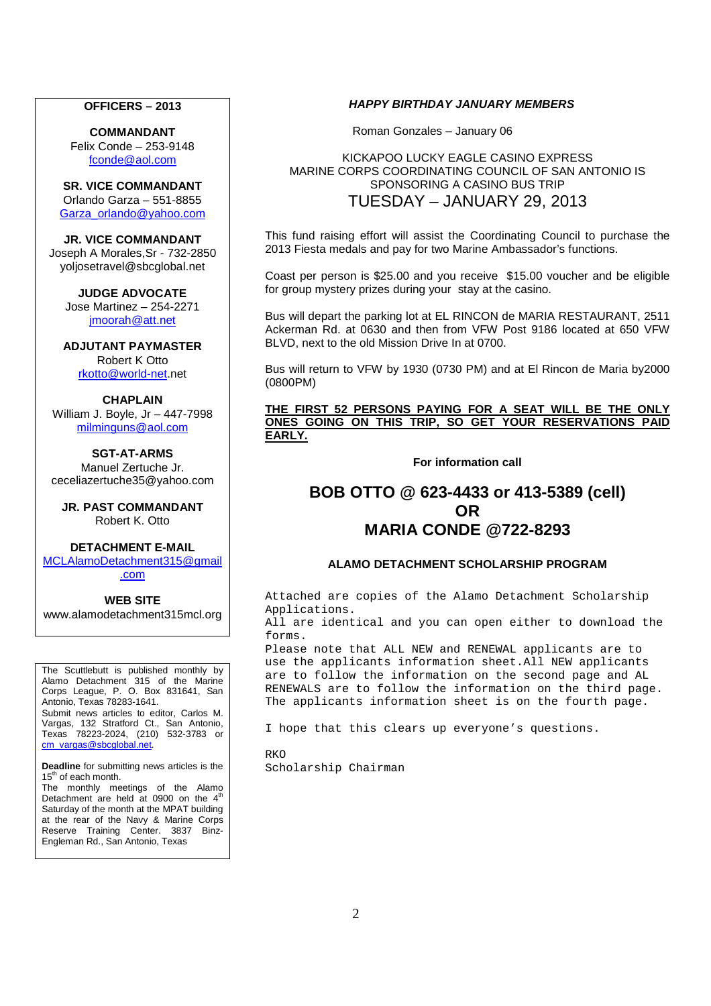#### **OFFICERS – 2013**

**COMMANDANT**  Felix Conde – 253-9148 fconde@aol.com

**SR. VICE COMMANDANT**  Orlando Garza – 551-8855 Garza\_orlando@yahoo.com

**JR. VICE COMMANDANT**  Joseph A Morales,Sr - 732-2850 yoljosetravel@sbcglobal.net

**JUDGE ADVOCATE**  Jose Martinez – 254-2271 jmoorah@att.net

**ADJUTANT PAYMASTER**  Robert K Otto rkotto@world-net.net

#### **CHAPLAIN**

William J. Boyle, Jr – 447-7998 milminguns@aol.com

**SGT-AT-ARMS** 

Manuel Zertuche Jr. ceceliazertuche35@yahoo.com

**JR. PAST COMMANDANT**  Robert K. Otto

**DETACHMENT E-MAIL** 

MCLAlamoDetachment315@gmail .com

#### **WEB SITE**

www.alamodetachment315mcl.org

The Scuttlebutt is published monthly by Alamo Detachment 315 of the Marine Corps League, P. O. Box 831641, San Antonio, Texas 78283-1641. Submit news articles to editor, Carlos M. Vargas, 132 Stratford Ct., San Antonio, Texas 78223-2024, (210) 532-3783 or cm\_vargas@sbcglobal.net

**Deadline** for submitting news articles is the 15<sup>th</sup> of each month.

The monthly meetings of the Alamo Detachment are held at 0900 on the  $4<sup>th</sup>$ Saturday of the month at the MPAT building at the rear of the Navy & Marine Corps Reserve Training Center. 3837 Binz-Engleman Rd., San Antonio, Texas

#### **HAPPY BIRTHDAY JANUARY MEMBERS**

Roman Gonzales – January 06

#### KICKAPOO LUCKY EAGLE CASINO EXPRESS MARINE CORPS COORDINATING COUNCIL OF SAN ANTONIO IS SPONSORING A CASINO BUS TRIP TUESDAY – JANUARY 29, 2013

This fund raising effort will assist the Coordinating Council to purchase the 2013 Fiesta medals and pay for two Marine Ambassador's functions.

Coast per person is \$25.00 and you receive \$15.00 voucher and be eligible for group mystery prizes during your stay at the casino.

Bus will depart the parking lot at EL RINCON de MARIA RESTAURANT, 2511 Ackerman Rd. at 0630 and then from VFW Post 9186 located at 650 VFW BLVD, next to the old Mission Drive In at 0700.

Bus will return to VFW by 1930 (0730 PM) and at El Rincon de Maria by2000 (0800PM)

#### **THE FIRST 52 PERSONS PAYING FOR A SEAT WILL BE THE ONLY ONES GOING ON THIS TRIP, SO GET YOUR RESERVATIONS PAID EARLY.**

**For information call** 

# **BOB OTTO @ 623-4433 or 413-5389 (cell) OR MARIA CONDE @722-8293**

#### **ALAMO DETACHMENT SCHOLARSHIP PROGRAM**

Attached are copies of the Alamo Detachment Scholarship Applications.

All are identical and you can open either to download the forms.

Please note that ALL NEW and RENEWAL applicants are to use the applicants information sheet.All NEW applicants are to follow the information on the second page and AL RENEWALS are to follow the information on the third page. The applicants information sheet is on the fourth page.

I hope that this clears up everyone's questions.

RKO Scholarship Chairman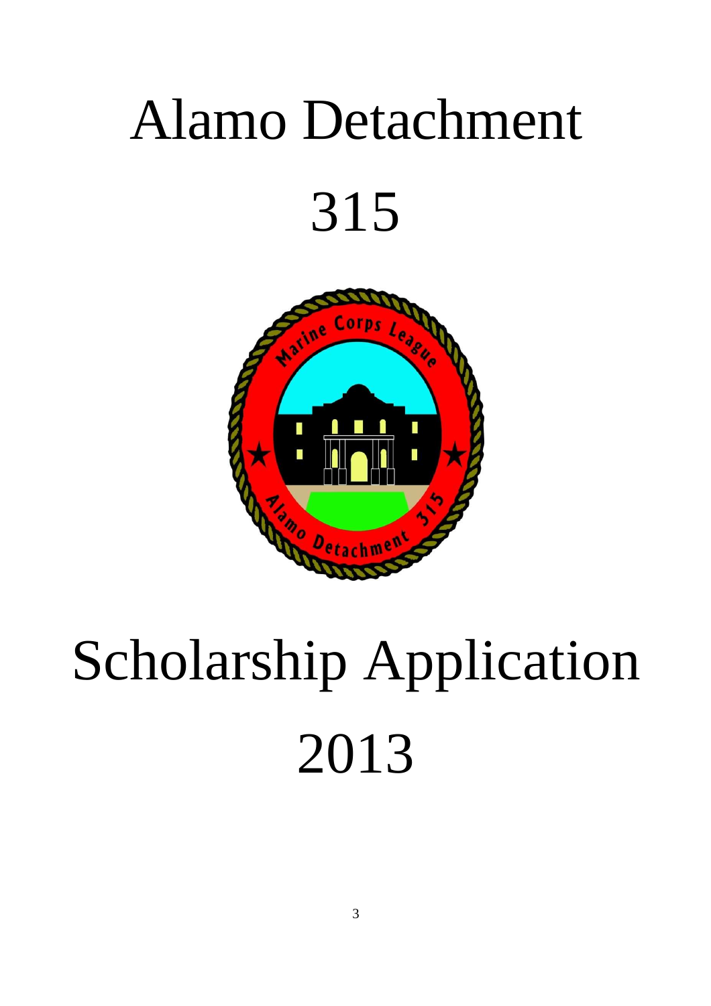# Alamo Detachment 315



# Scholarship Application 2013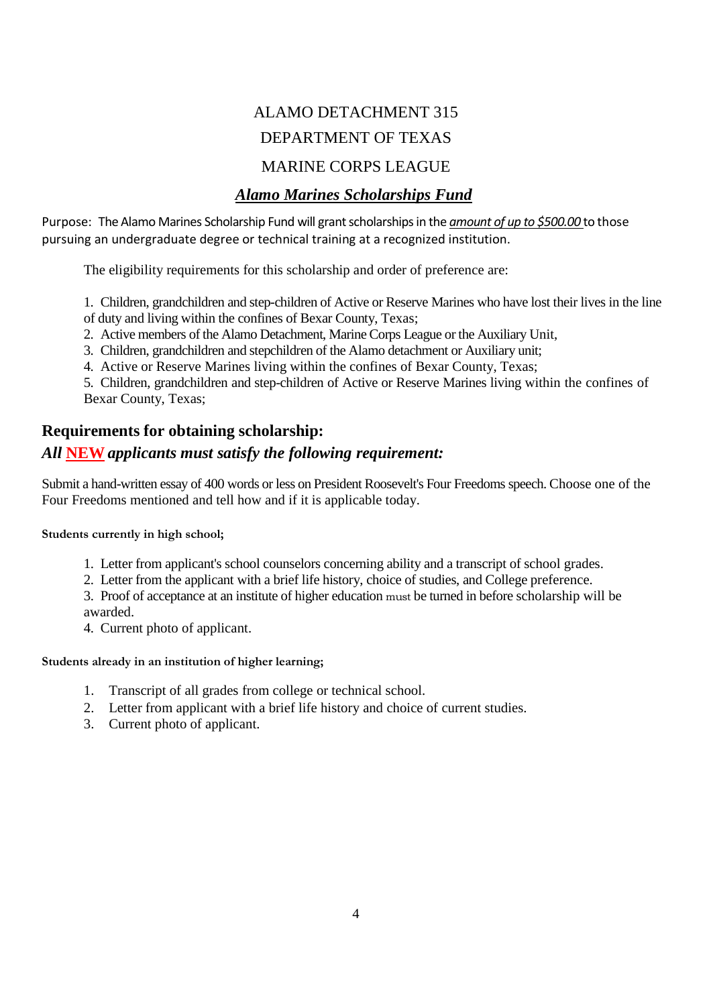# ALAMO DETACHMENT 315 DEPARTMENT OF TEXAS

# MARINE CORPS LEAGUE

# *Alamo Marines Scholarships Fund*

Purpose: The Alamo Marines Scholarship Fund will grant scholarships in the *amount of up to \$500.00* to those pursuing an undergraduate degree or technical training at a recognized institution.

The eligibility requirements for this scholarship and order of preference are:

1. Children, grandchildren and step-children of Active or Reserve Marines who have lost their lives in the line

- of duty and living within the confines of Bexar County, Texas;
- 2. Active members of the Alamo Detachment, Marine Corps League or the Auxiliary Unit,
- 3. Children, grandchildren and stepchildren of the Alamo detachment or Auxiliary unit;
- 4. Active or Reserve Marines living within the confines of Bexar County, Texas;

5. Children, grandchildren and step-children of Active or Reserve Marines living within the confines of Bexar County, Texas;

# **Requirements for obtaining scholarship:**

# *All* **NEW** *applicants must satisfy the following requirement:*

Submit a hand-written essay of 400 words or less on President Roosevelt's Four Freedoms speech. Choose one of the Four Freedoms mentioned and tell how and if it is applicable today.

**Students currently in high school;** 

- 1. Letter from applicant's school counselors concerning ability and a transcript of school grades.
- 2. Letter from the applicant with a brief life history, choice of studies, and College preference.

3. Proof of acceptance at an institute of higher education must be turned in before scholarship will be awarded.

4. Current photo of applicant.

### **Students already in an institution of higher learning;**

- 1. Transcript of all grades from college or technical school.
- 2. Letter from applicant with a brief life history and choice of current studies.
- 3. Current photo of applicant.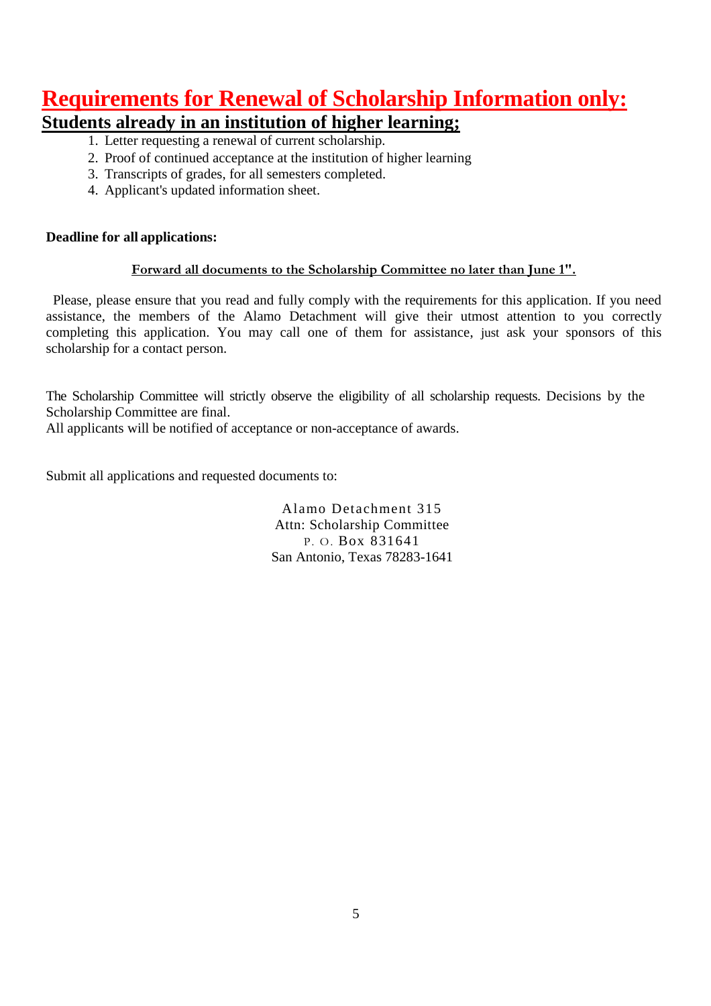# **Requirements for Renewal of Scholarship Information only:**

# **Students already in an institution of higher learning;**

- 1. Letter requesting a renewal of current scholarship.
- 2. Proof of continued acceptance at the institution of higher learning
- 3. Transcripts of grades, for all semesters completed.
- 4. Applicant's updated information sheet.

# **Deadline for all applications:**

# **Forward all documents to the Scholarship Committee no later than June 1".**

 Please, please ensure that you read and fully comply with the requirements for this application. If you need assistance, the members of the Alamo Detachment will give their utmost attention to you correctly completing this application. You may call one of them for assistance, just ask your sponsors of this scholarship for a contact person.

The Scholarship Committee will strictly observe the eligibility of all scholarship requests. Decisions by the Scholarship Committee are final.

All applicants will be notified of acceptance or non-acceptance of awards.

Submit all applications and requested documents to:

Alamo Detachment 315 Attn: Scholarship Committee P. O. Box 831641 San Antonio, Texas 78283-1641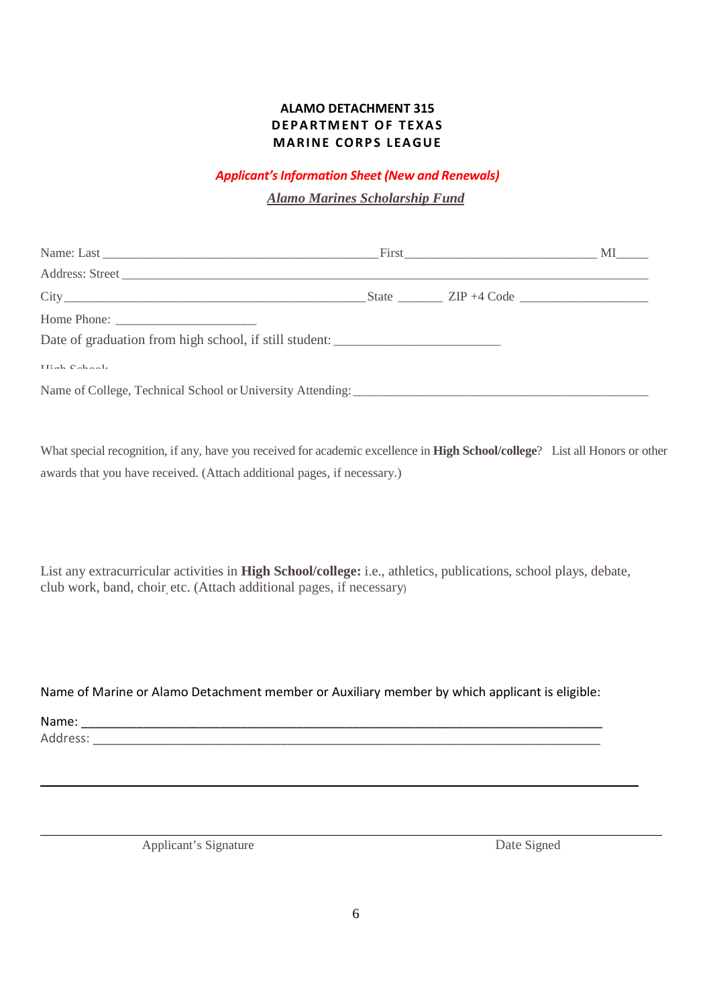# **ALAMO DETACHMENT 315 DEPARTMENT OF TEXAS MARINE CORPS LEAGUE**

## *Applicant's Information Sheet (New and Renewals)*

*Alamo Marines Scholarship Fund*

| $City$ $City$ $ZIP + 4 Code$                                                      |  |  |
|-----------------------------------------------------------------------------------|--|--|
| Home Phone: $\frac{1}{\sqrt{1-\frac{1}{2}} \cdot \frac{1}{2}}$                    |  |  |
| Date of graduation from high school, if still student: __________________________ |  |  |
| $TTL = L - C = L = -1$ .                                                          |  |  |
|                                                                                   |  |  |

What special recognition, if any, have you received for academic excellence in **High School/college**? List all Honors or other awards that you have received. (Attach additional pages, if necessary.)

List any extracurricular activities in **High School/college:** i.e., athletics, publications, school plays, debate, club work, band, choir, etc. (Attach additional pages, if necessary)

### Name of Marine or Alamo Detachment member or Auxiliary member by which applicant is eligible:

Name: \_\_\_\_\_\_\_\_\_\_\_\_\_\_\_\_\_\_\_\_\_\_\_\_\_\_\_\_\_\_\_\_\_\_\_\_\_\_\_\_\_\_\_\_\_\_\_\_\_\_\_\_\_\_\_\_\_\_\_\_\_\_\_\_\_\_\_\_\_\_\_\_\_\_\_

Address:

Applicant's Signature Date Signed